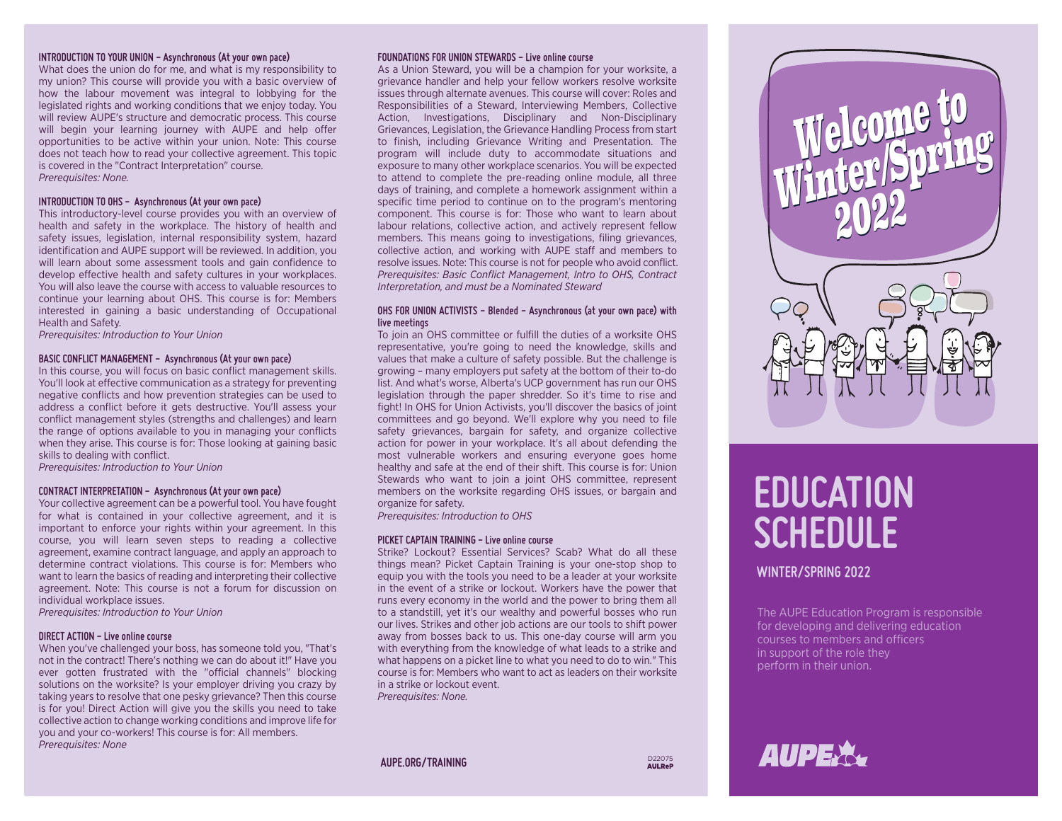### **INTRODUCTION TO YOUR UNION - Asynchronous (At your own pace)**

What does the union do for me, and what is my responsibility to my union? This course will provide you with a basic overview of how the labour movement was integral to lobbying for the legislated rights and working conditions that we enjoy today. You will review AUPE's structure and democratic process. This course will begin your learning journey with AUPE and help offer opportunities to be active within your union. Note: This course does not teach how to read your collective agreement. This topic is covered in the "Contract Interpretation" course. *Prerequisites: None.*

### **INTRODUCTION TO OHS - Asynchronous (At your own pace)**

This introductory-level course provides you with an overview of health and safety in the workplace. The history of health and safety issues, legislation, internal responsibility system, hazard identification and AUPE support will be reviewed. In addition, you will learn about some assessment tools and gain confidence to develop effective health and safety cultures in your workplaces. You will also leave the course with access to valuable resources to continue your learning about OHS. This course is for: Members interested in gaining a basic understanding of Occupational Health and Safety.

*Prerequisites: Introduction to Your Union*

### **BASIC CONFLICT MANAGEMENT - Asynchronous (At your own pace)**

In this course, you will focus on basic conflict management skills. You'll look at effective communication as a strategy for preventing negative conflicts and how prevention strategies can be used to address a conflict before it gets destructive. You'll assess your conflict management styles (strengths and challenges) and learn the range of options available to you in managing your conflicts when they arise. This course is for: Those looking at gaining basic skills to dealing with conflict.

*Prerequisites: Introduction to Your Union*

### **CONTRACT INTERPRETATION - Asynchronous (At your own pace)**

Your collective agreement can be a powerful tool. You have fought for what is contained in your collective agreement, and it is important to enforce your rights within your agreement. In this course, you will learn seven steps to reading a collective agreement, examine contract language, and apply an approach to determine contract violations. This course is for: Members who want to learn the basics of reading and interpreting their collective agreement. Note: This course is not a forum for discussion on individual workplace issues.

*Prerequisites: Introduction to Your Union*

### **DIRECT ACTION - Live online course**

When you've challenged your boss, has someone told you, "That's not in the contract! There's nothing we can do about it!" Have you ever gotten frustrated with the "official channels" blocking solutions on the worksite? Is your employer driving you crazy by taking years to resolve that one pesky grievance? Then this course is for you! Direct Action will give you the skills you need to take collective action to change working conditions and improve life for you and your co-workers! This course is for: All members. *Prerequisites: None*

### **FOUNDATIONS FOR UNION STEWARDS - Live online course**

As a Union Steward, you will be a champion for your worksite, a grievance handler and help your fellow workers resolve worksite issues through alternate avenues. This course will cover: Roles and Responsibilities of a Steward, Interviewing Members, Collective Action, Investigations, Disciplinary and Non-Disciplinary Grievances, Legislation, the Grievance Handling Process from start to finish, including Grievance Writing and Presentation. The program will include duty to accommodate situations and exposure to many other workplace scenarios. You will be expected to attend to complete the pre-reading online module, all three days of training, and complete a homework assignment within a specific time period to continue on to the program's mentoring component. This course is for: Those who want to learn about labour relations, collective action, and actively represent fellow members. This means going to investigations, filing grievances, collective action, and working with AUPE staff and members to resolve issues. Note: This course is not for people who avoid conflict. *Prerequisites: Basic Conflict Management, Intro to OHS, Contract Interpretation, and must be a Nominated Steward*

### **OHS FOR UNION ACTIVISTS - Blended - Asynchronous (at your own pace) with live meetings**

To join an OHS committee or fulfill the duties of a worksite OHS representative, you're going to need the knowledge, skills and values that make a culture of safety possible. But the challenge is growing – many employers put safety at the bottom of their to-do list. And what's worse, Alberta's UCP government has run our OHS legislation through the paper shredder. So it's time to rise and fight! In OHS for Union Activists, you'll discover the basics of joint committees and go beyond. We'll explore why you need to file safety grievances, bargain for safety, and organize collective action for power in your workplace. It's all about defending the most vulnerable workers and ensuring everyone goes home healthy and safe at the end of their shift. This course is for: Union Stewards who want to join a joint OHS committee, represent members on the worksite regarding OHS issues, or bargain and organize for safety.

*Prerequisites: Introduction to OHS*

### **PICKET CAPTAIN TRAINING - Live online course**

Strike? Lockout? Essential Services? Scab? What do all these things mean? Picket Captain Training is your one-stop shop to equip you with the tools you need to be a leader at your worksite in the event of a strike or lockout. Workers have the power that runs every economy in the world and the power to bring them all to a standstill, yet it's our wealthy and powerful bosses who run our lives. Strikes and other job actions are our tools to shift power away from bosses back to us. This one-day course will arm you with everything from the knowledge of what leads to a strike and what happens on a picket line to what you need to do to win." This course is for: Members who want to act as leaders on their worksite in a strike or lockout event. *Prerequisites: None.*



# **EDUCATION SCHEDULE**

### **WINTER/SPRING 2022**

The AUPE Education Program is responsible for developing and delivering education courses to members and officers in support of the role they perform in their union.

### **AUPE.ORG/TRAINING** D22075